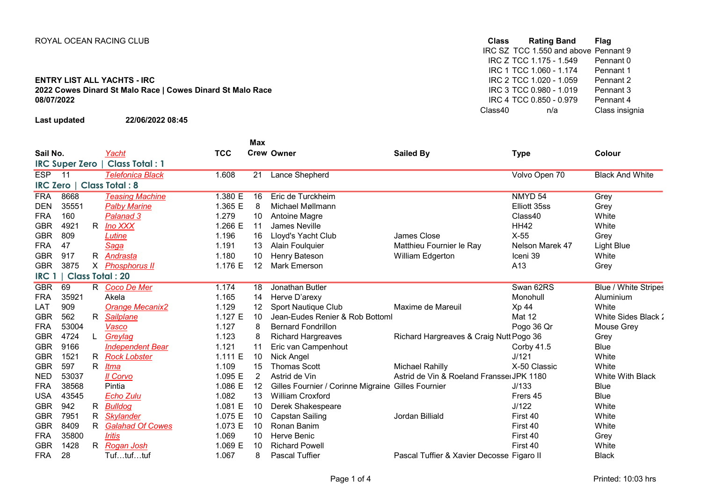## ENTRY LIST ALL YACHTS - IRC<br>
2022 Cowes Dinard St Malo Race | Cowes Dinard St Malo Race<br>
2022 Cowes Dinard St Malo Race | Cowes Dinard St Malo Race<br>
2022 Cowes Dinard St Malo Race | Cowes Dinard St Malo Race 2022 Cowes Dinard St Malo Race | Cowes Dinard St Malo Race | Cowes Dinard St Malo Race | Cowes Dinard St Malo Race | Cowes Dinard St Malo Race | Cowes | Company | RC 3 TCC 0.980 - 1.019 Pennant 3 08/07/2022

Last updated 22/06/2022 08:45

ROYAL OCEAN RACING CLUB **CLASS Rating Band** Flag IRC SZ TCC 1.550 and above Pennant 9<br>IRC Z TCC 1.175 - 1.549 Pennant 0 IRC Z TCC 1.175 - 1.549 Pennant 0<br>IRC 1 TCC 1.060 - 1.174 Pennant 1 IRC 1 TCC 1.060 - 1.174 Pennant 1<br>IRC 2 TCC 1.020 - 1.059 Pennant 2 IRC 4 TCC 0.850 - 0.979 Pennant 4 Class insignia

|                  |                       |    |                         |            | Max            |                                                    |                                           |                    |                             |
|------------------|-----------------------|----|-------------------------|------------|----------------|----------------------------------------------------|-------------------------------------------|--------------------|-----------------------------|
| Sail No.         |                       |    | Yacht                   | <b>TCC</b> |                | <b>Crew Owner</b>                                  | <b>Sailed By</b>                          | <b>Type</b>        | <b>Colour</b>               |
|                  | <b>IRC Super Zero</b> |    | <b>Class Total: 1</b>   |            |                |                                                    |                                           |                    |                             |
| <b>ESP</b>       | $\overline{11}$       |    | <b>Telefonica Black</b> | 1.608      | 21             | <b>Lance Shepherd</b>                              |                                           | Volvo Open 70      | <b>Black And White</b>      |
| <b>IRC Zero</b>  |                       |    | <b>Class Total: 8</b>   |            |                |                                                    |                                           |                    |                             |
| <b>FRA</b>       | 8668                  |    | <b>Teasing Machine</b>  | 1.380 E    | 16             | Eric de Turckheim                                  |                                           | NMYD <sub>54</sub> | Grey                        |
| <b>DEN</b>       | 35551                 |    | <b>Palby Marine</b>     | 1.365 E    | 8              | Michael Møllmann                                   |                                           | Elliott 35ss       | Grey                        |
| <b>FRA</b>       | 160                   |    | Palanad 3               | 1.279      | 10             | Antoine Magre                                      |                                           | Class40            | White                       |
| <b>GBR</b>       | 4921                  | R. | Ino XXX                 | 1.266 E    | 11             | James Neville                                      |                                           | <b>HH42</b>        | White                       |
| <b>GBR</b>       | 809                   |    | Lutine                  | 1.196      | 16             | Lloyd's Yacht Club                                 | James Close                               | $X-55$             | Grey                        |
| <b>FRA</b>       | 47                    |    | Saga                    | 1.191      | 13             | <b>Alain Foulquier</b>                             | Matthieu Fournier le Ray                  | Nelson Marek 47    | Light Blue                  |
| <b>GBR</b>       | 917                   | R. | <u>Andrasta</u>         | 1.180      | 10             | Henry Bateson                                      | William Edgerton                          | Iceni 39           | White                       |
| <b>GBR</b>       | 3875                  |    | X Phosphorus II         | 1.176 E    | 12             | <b>Mark Emerson</b>                                |                                           | A13                | Grey                        |
| IRC <sup>1</sup> |                       |    | <b>Class Total: 20</b>  |            |                |                                                    |                                           |                    |                             |
| <b>GBR</b>       | 69                    |    | R Coco De Mer           | 1.174      | 18             | Jonathan Butler                                    |                                           | Swan 62RS          | <b>Blue / White Stripes</b> |
| <b>FRA</b>       | 35921                 |    | Akela                   | 1.165      | 14             | Herve D'arexy                                      |                                           | Monohull           | Aluminium                   |
| LAT              | 909                   |    | <b>Orange Mecanix2</b>  | 1.129      | 12             | Sport Nautique Club                                | Maxime de Mareuil                         | Xp 44              | White                       |
| <b>GBR</b>       | 562                   | R. | <b>Sailplane</b>        | 1.127 E    | 10             | Jean-Eudes Renier & Rob Bottoml                    |                                           | Mat 12             | White Sides Black:          |
| <b>FRA</b>       | 53004                 |    | Vasco                   | 1.127      | 8              | <b>Bernard Fondrillon</b>                          |                                           | Pogo 36 Qr         | Mouse Grey                  |
| <b>GBR</b>       | 4724                  | L  | Greylag                 | 1.123      |                | <b>Richard Hargreaves</b>                          | Richard Hargreaves & Craig Nutt Pogo 36   |                    | Grey                        |
| <b>GBR</b>       | 9166                  |    | <b>Independent Bear</b> | 1.121      | 11             | Eric van Campenhout                                |                                           | Corby $41.5$       | <b>Blue</b>                 |
| <b>GBR</b>       | 1521                  | R. | <b>Rock Lobster</b>     | 1.111 E    | 10             | Nick Angel                                         |                                           | J/121              | White                       |
| <b>GBR</b>       | 597                   | R. | Itma                    | 1.109      | 15             | <b>Thomas Scott</b>                                | Michael Rahilly                           | X-50 Classic       | White                       |
| <b>NED</b>       | 53037                 |    | Il Corvo                | 1.095 E    | $\overline{2}$ | Astrid de Vin                                      | Astrid de Vin & Roeland Fransse JPK 1180  |                    | White With Black            |
| <b>FRA</b>       | 38568                 |    | Pintia                  | 1.086 E    | 12             | Gilles Fournier / Corinne Migraine Gilles Fournier |                                           | J/133              | <b>Blue</b>                 |
| <b>USA</b>       | 43545                 |    | <b>Echo Zulu</b>        | 1.082      | 13             | <b>William Croxford</b>                            |                                           | Frers 45           | <b>Blue</b>                 |
| <b>GBR</b>       | 942                   | R. | <b>Bulldog</b>          | 1.081 E    | 10             | Derek Shakespeare                                  |                                           | J/122              | White                       |
| <b>GBR</b>       | 7951                  | R  | <b>Skylander</b>        | 1.075 E    | 10             | Capstan Sailing                                    | Jordan Billiald                           | First 40           | White                       |
| <b>GBR</b>       | 8409                  | R  | <b>Galahad Of Cowes</b> | 1.073 E    | 10             | Ronan Banim                                        |                                           | First 40           | White                       |
| <b>FRA</b>       | 35800                 |    | <i><b>Iritis</b></i>    | 1.069      | 10             | Herve Benic                                        |                                           | First 40           | Grey                        |
| <b>GBR</b>       | 1428                  | R. | Rogan Josh              | 1.069 E    | 10             | <b>Richard Powell</b>                              |                                           | First 40           | White                       |
| <b>FRA</b>       | 28                    |    | Tuftuftuf               | 1.067      | 8              | <b>Pascal Tuffier</b>                              | Pascal Tuffier & Xavier Decosse Figaro II |                    | <b>Black</b>                |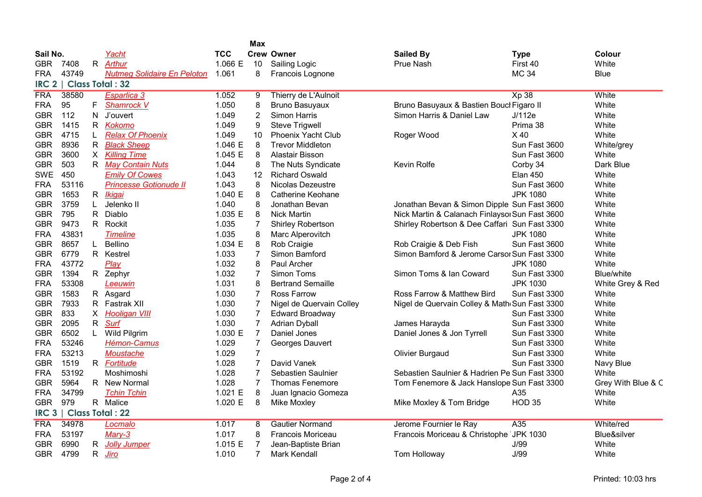|                  |       |    |                                    |            | Max              |                          |                                                |                 |                    |
|------------------|-------|----|------------------------------------|------------|------------------|--------------------------|------------------------------------------------|-----------------|--------------------|
| Sail No.         |       |    | Yacht                              | <b>TCC</b> |                  | <b>Crew Owner</b>        | <b>Sailed By</b>                               | <b>Type</b>     | Colour             |
| <b>GBR</b>       | 7408  |    | R Arthur                           | 1.066 E    | 10               | Sailing Logic            | Prue Nash                                      | First 40        | White              |
| FRA.             | 43749 |    | <b>Nutmeg Solidaire En Peloton</b> | 1.061      | 8                | Francois Lognone         |                                                | <b>MC 34</b>    | <b>Blue</b>        |
| IRC <sub>2</sub> |       |    | <b>Class Total: 32</b>             |            |                  |                          |                                                |                 |                    |
| <b>FRA</b>       | 38580 |    | Esparlica 3                        | 1.052      | 9                | Thierry de L'Aulnoit     |                                                | <b>Xp 38</b>    | White              |
| <b>FRA</b>       | 95    |    | F Shamrock V                       | 1.050      | 8                | <b>Bruno Basuyaux</b>    | Bruno Basuyaux & Bastien Boucl Figaro II       |                 | White              |
| <b>GBR</b>       | 112   | N  | J'ouvert                           | 1.049      | 2                | Simon Harris             | Simon Harris & Daniel Law                      | J/112e          | White              |
| <b>GBR</b>       | 1415  |    | R Kokomo                           | 1.049      | 9                | <b>Steve Trigwell</b>    |                                                | Prima 38        | White              |
| <b>GBR</b>       | 4715  |    | <b>Relax Of Phoenix</b>            | 1.049      | 10               | Phoenix Yacht Club       | Roger Wood                                     | X40             | White              |
| <b>GBR</b>       | 8936  |    | R Black Sheep                      | 1.046 E    | 8                | <b>Trevor Middleton</b>  |                                                | Sun Fast 3600   | White/grey         |
| <b>GBR</b>       | 3600  |    | X Killing Time                     | 1.045 E    | 8                | Alastair Bisson          |                                                | Sun Fast 3600   | White              |
| <b>GBR</b>       | 503   |    | R May Contain Nuts                 | 1.044      | 8                | The Nuts Syndicate       | Kevin Rolfe                                    | Corby 34        | Dark Blue          |
| SWE              | 450   |    | <b>Emily Of Cowes</b>              | 1.043      | 12               | <b>Richard Oswald</b>    |                                                | <b>Elan 450</b> | White              |
| <b>FRA</b>       | 53116 |    | <b>Princesse Gotionude II</b>      | 1.043      | 8                | <b>Nicolas Dezeustre</b> |                                                | Sun Fast 3600   | White              |
| <b>GBR</b>       | 1653  |    | R <i>Ikigai</i>                    | 1.040 E    | 8                | Catherine Keohane        |                                                | <b>JPK 1080</b> | White              |
| <b>GBR</b>       | 3759  |    | Jelenko II                         | 1.040      | 8                | Jonathan Bevan           | Jonathan Bevan & Simon Dipple Sun Fast 3600    |                 | White              |
| <b>GBR</b>       | 795   | R. | Diablo                             | 1.035 E    | 8                | <b>Nick Martin</b>       | Nick Martin & Calanach Finlaysol Sun Fast 3600 |                 | White              |
| <b>GBR</b>       | 9473  |    | R Rockit                           | 1.035      | 7                | <b>Shirley Robertson</b> | Shirley Robertson & Dee Caffari Sun Fast 3300  |                 | White              |
| <b>FRA</b>       | 43831 |    | <b>Timeline</b>                    | 1.035      | 8                | Marc Alperovitch         |                                                | <b>JPK 1080</b> | White              |
| <b>GBR</b>       | 8657  | L. | Bellino                            | 1.034 E    | 8                | Rob Craigie              | Rob Craigie & Deb Fish                         | Sun Fast 3600   | White              |
| <b>GBR</b>       | 6779  |    | R Kestrel                          | 1.033      | $\overline{7}$   | Simon Bamford            | Simon Bamford & Jerome Carsor Sun Fast 3300    |                 | White              |
| <b>FRA</b>       | 43772 |    | Play                               | 1.032      | 8                | Paul Archer              |                                                | <b>JPK 1080</b> | White              |
| <b>GBR</b>       | 1394  |    | R Zephyr                           | 1.032      | 7                | Simon Toms               | Simon Toms & Ian Coward                        | Sun Fast 3300   | Blue/white         |
| <b>FRA</b>       | 53308 |    | Leeuwin                            | 1.031      | 8                | <b>Bertrand Semaille</b> |                                                | <b>JPK 1030</b> | White Grey & Red   |
| <b>GBR</b>       | 1583  |    | R Asgard                           | 1.030      | $\overline{7}$   | <b>Ross Farrow</b>       | Ross Farrow & Matthew Bird                     | Sun Fast 3300   | White              |
| <b>GBR</b>       | 7933  |    | R Fastrak XII                      | 1.030      | $\overline{7}$   | Nigel de Quervain Colley | Nigel de Quervain Colley & Math Sun Fast 3300  |                 | White              |
| <b>GBR</b>       | 833   |    | X Hooligan VIII                    | 1.030      | $\overline{7}$   | <b>Edward Broadway</b>   |                                                | Sun Fast 3300   | White              |
| <b>GBR</b>       | 2095  |    | R Surf                             | 1.030      | 7                | <b>Adrian Dyball</b>     | James Harayda                                  | Sun Fast 3300   | White              |
| <b>GBR</b>       | 6502  | L  | Wild Pilgrim                       | 1.030 E    | $\overline{7}$   | Daniel Jones             | Daniel Jones & Jon Tyrrell                     | Sun Fast 3300   | White              |
| FRA              | 53246 |    | <b>Hémon-Camus</b>                 | 1.029      | $\boldsymbol{7}$ | Georges Dauvert          |                                                | Sun Fast 3300   | White              |
| <b>FRA</b>       | 53213 |    | Moustache                          | 1.029      | $\overline{7}$   |                          | <b>Olivier Burgaud</b>                         | Sun Fast 3300   | White              |
| <b>GBR</b>       | 1519  |    | R Fortitude                        | 1.028      | $\overline{7}$   | David Vanek              |                                                | Sun Fast 3300   | Navy Blue          |
| <b>FRA</b>       | 53192 |    | Moshimoshi                         | 1.028      | $\overline{7}$   | Sebastien Saulnier       | Sebastien Saulnier & Hadrien Pe Sun Fast 3300  |                 | White              |
| <b>GBR</b>       | 5964  |    | R New Normal                       | 1.028      | $\overline{7}$   | <b>Thomas Fenemore</b>   | Tom Fenemore & Jack Hanslope Sun Fast 3300     |                 | Grey With Blue & C |
| <b>FRA</b>       | 34799 |    | <b>Tchin Tchin</b>                 | 1.021 E    | 8                | Juan Ignacio Gomeza      |                                                | A35             | White              |
| <b>GBR</b>       | 979   |    | R Malice                           | 1.020 E    | 8                | Mike Moxley              | Mike Moxley & Tom Bridge                       | <b>HOD 35</b>   | White              |
| IRC <sub>3</sub> |       |    | <b>Class Total: 22</b>             |            |                  |                          |                                                |                 |                    |
| <b>FRA</b>       | 34978 |    | Locmalo                            | 1.017      | 8                | <b>Gautier Normand</b>   | Jerome Fournier le Ray                         | A35             | White/red          |
| FRA              | 53197 |    | Mary-3                             | 1.017      | 8                | Francois Moriceau        | Francois Moriceau & Christophe                 | JPK 1030        | Blue&silver        |
| <b>GBR</b>       | 6990  | R. | <b>Jolly Jumper</b>                | 1.015 E    | $\overline{7}$   | Jean-Baptiste Brian      |                                                | J/99            | White              |
| <b>GBR</b>       | 4799  | R  | Jiro                               | 1.010      | 7                | Mark Kendall             | Tom Holloway                                   | J/99            | White              |
|                  |       |    |                                    |            |                  |                          |                                                |                 |                    |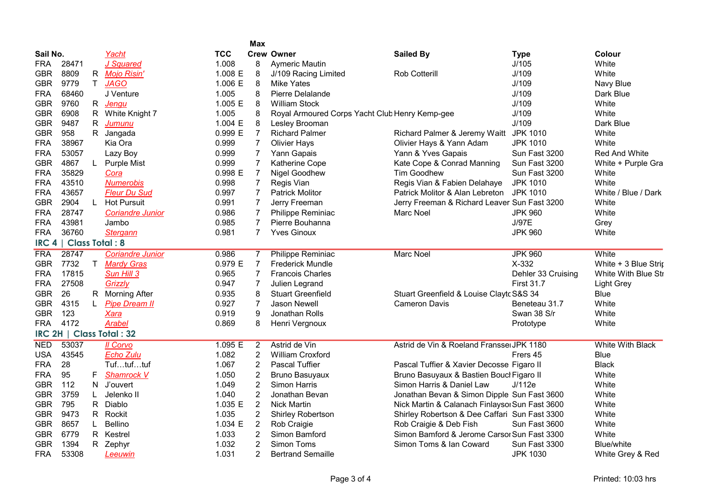|                  |                       |              |                           |            | <b>Max</b>     |                                                |                                                |                    |                         |
|------------------|-----------------------|--------------|---------------------------|------------|----------------|------------------------------------------------|------------------------------------------------|--------------------|-------------------------|
| Sail No.         |                       |              | Yacht                     | <b>TCC</b> |                | <b>Crew Owner</b>                              | <b>Sailed By</b>                               | <b>Type</b>        | Colour                  |
| <b>FRA</b>       | 28471                 |              | J Squared                 | 1.008      | 8              | Aymeric Mautin                                 |                                                | J/105              | White                   |
| GBR              | 8809                  | R            | <b>Mojo Risin'</b>        | 1.008 E    | 8              | J/109 Racing Limited                           | <b>Rob Cotterill</b>                           | J/109              | White                   |
| <b>GBR</b>       | 9779                  | T            | <b>JAGO</b>               | 1.006 E    | 8              | <b>Mike Yates</b>                              |                                                | J/109              | Navy Blue               |
| <b>FRA</b>       | 68460                 |              | J Venture                 | 1.005      | 8              | Pierre Delalande                               |                                                | J/109              | Dark Blue               |
| <b>GBR</b>       | 9760                  |              | R Jenqu                   | 1.005 E    | 8              | <b>William Stock</b>                           |                                                | J/109              | White                   |
| <b>GBR</b>       | 6908                  | R.           | White Knight 7            | 1.005      | 8              | Royal Armoured Corps Yacht Club Henry Kemp-gee |                                                | J/109              | White                   |
| <b>GBR</b>       | 9487                  | $\mathsf{R}$ | <b>Jumunu</b>             | 1.004 E    | 8              | Lesley Brooman                                 |                                                | J/109              | Dark Blue               |
| <b>GBR</b>       | 958                   | $\mathsf{R}$ | Jangada                   | 0.999 E    | $\overline{7}$ | <b>Richard Palmer</b>                          | Richard Palmer & Jeremy Waitt                  | <b>JPK 1010</b>    | White                   |
| <b>FRA</b>       | 38967                 |              | Kia Ora                   | 0.999      | $\overline{7}$ | <b>Olivier Hays</b>                            | Olivier Hays & Yann Adam                       | <b>JPK 1010</b>    | White                   |
| <b>FRA</b>       | 53057                 |              | Lazy Boy                  | 0.999      | $\overline{7}$ | Yann Gapais                                    | Yann & Yves Gapais                             | Sun Fast 3200      | <b>Red And White</b>    |
| <b>GBR</b>       | 4867                  | L.           | <b>Purple Mist</b>        | 0.999      | 7              | <b>Katherine Cope</b>                          | Kate Cope & Conrad Manning                     | Sun Fast 3200      | White + Purple Gra      |
| <b>FRA</b>       | 35829                 |              | Cora                      | 0.998 E    | $\overline{7}$ | <b>Nigel Goodhew</b>                           | <b>Tim Goodhew</b>                             | Sun Fast 3200      | White                   |
| <b>FRA</b>       | 43510                 |              | <b>Numerobis</b>          | 0.998      | $\overline{7}$ | Regis Vian                                     | Regis Vian & Fabien Delahaye                   | <b>JPK 1010</b>    | White                   |
| <b>FRA</b>       | 43657                 |              | <b>Fleur Du Sud</b>       | 0.997      | 7              | <b>Patrick Molitor</b>                         | Patrick Molitor & Alan Lebreton                | <b>JPK 1010</b>    | White / Blue / Dark     |
| <b>GBR</b>       | 2904                  | L.           | <b>Hot Pursuit</b>        | 0.991      | $\overline{7}$ | Jerry Freeman                                  | Jerry Freeman & Richard Leaver Sun Fast 3200   |                    | White                   |
| <b>FRA</b>       | 28747                 |              | <b>Coriandre Junior</b>   | 0.986      | $\overline{7}$ | Philippe Reminiac                              | Marc Noel                                      | <b>JPK 960</b>     | White                   |
| <b>FRA</b>       | 43981                 |              | Jambo                     | 0.985      | $\overline{7}$ | Pierre Bouhanna                                |                                                | J/97E              | Grey                    |
| <b>FRA</b>       | 36760                 |              | <b>Stergann</b>           | 0.981      | $\overline{7}$ | <b>Yves Ginoux</b>                             |                                                | <b>JPK 960</b>     | White                   |
| IRC <sub>4</sub> | <b>Class Total: 8</b> |              |                           |            |                |                                                |                                                |                    |                         |
| <b>FRA</b>       | 28747                 |              | <b>Coriandre Junior</b>   | 0.986      | 7              | <b>Philippe Reminiac</b>                       | <b>Marc Noel</b>                               | <b>JPK 960</b>     | White                   |
| <b>GBR</b>       | 7732                  | T.           | <b>Mardy Gras</b>         | 0.979 E    | $\overline{7}$ | <b>Frederick Mundle</b>                        |                                                | X-332              | White + 3 Blue Strip    |
| <b>FRA</b>       | 17815                 |              | Sun Hill 3                | 0.965      | $\overline{7}$ | <b>Francois Charles</b>                        |                                                | Dehler 33 Cruising | White With Blue Sti     |
| <b>FRA</b>       | 27508                 |              | Grizzly                   | 0.947      | 7              | Julien Legrand                                 |                                                | <b>First 31.7</b>  | <b>Light Grey</b>       |
| <b>GBR</b>       | 26                    |              | R Morning After           | 0.935      | 8              | <b>Stuart Greenfield</b>                       | Stuart Greenfield & Louise Claytc S&S 34       |                    | <b>Blue</b>             |
| <b>GBR</b>       | 4315                  | L.           | <b>Pipe Dream II</b>      | 0.927      | $\overline{7}$ | <b>Jason Newell</b>                            | <b>Cameron Davis</b>                           | Beneteau 31.7      | White                   |
| <b>GBR</b>       | 123                   |              | <b>Xara</b>               | 0.919      | 9              | Jonathan Rolls                                 |                                                | Swan 38 S/r        | White                   |
| <b>FRA</b>       | 4172                  |              | <b>Arabel</b>             | 0.869      | 8              | Henri Vergnoux                                 |                                                | Prototype          | White                   |
|                  |                       |              | IRC 2H   Class Total : 32 |            |                |                                                |                                                |                    |                         |
| <b>NED</b>       | 53037                 |              | <b>Il Corvo</b>           | 1.095 E    | $\overline{2}$ | Astrid de Vin                                  | Astrid de Vin & Roeland Fransse JPK 1180       |                    | <b>White With Black</b> |
| <b>USA</b>       | 43545                 |              | <b>Echo Zulu</b>          | 1.082      | $\overline{2}$ | <b>William Croxford</b>                        |                                                | Frers 45           | <b>Blue</b>             |
| <b>FRA</b>       | 28                    |              | Tuftuftuf                 | 1.067      | 2              | <b>Pascal Tuffier</b>                          | Pascal Tuffier & Xavier Decosse Figaro II      |                    | <b>Black</b>            |
| <b>FRA</b>       | 95                    | F.           | <b>Shamrock V</b>         | 1.050      | $\overline{c}$ | <b>Bruno Basuyaux</b>                          | Bruno Basuyaux & Bastien Boucl Figaro II       |                    | White                   |
| <b>GBR</b>       | 112                   |              | N J'ouvert                | 1.049      | $\overline{c}$ | <b>Simon Harris</b>                            | Simon Harris & Daniel Law                      | J/112e             | White                   |
| <b>GBR</b>       | 3759                  | L.           | Jelenko II                | 1.040      | 2              | Jonathan Bevan                                 | Jonathan Bevan & Simon Dipple Sun Fast 3600    |                    | White                   |
| <b>GBR</b>       | 795                   |              | R Diablo                  | 1.035 E    | $\overline{2}$ | <b>Nick Martin</b>                             | Nick Martin & Calanach Finlaysol Sun Fast 3600 |                    | White                   |
| <b>GBR</b>       | 9473                  | $\mathsf{R}$ | Rockit                    | 1.035      | $\overline{2}$ | <b>Shirley Robertson</b>                       | Shirley Robertson & Dee Caffari Sun Fast 3300  |                    | White                   |
| <b>GBR</b>       | 8657                  | L.           | <b>Bellino</b>            | 1.034 E    | $\overline{2}$ | Rob Craigie                                    | Rob Craigie & Deb Fish                         | Sun Fast 3600      | White                   |
| <b>GBR</b>       | 6779                  |              | R Kestrel                 | 1.033      | $\overline{2}$ | Simon Bamford                                  | Simon Bamford & Jerome Carsor Sun Fast 3300    |                    | White                   |
| <b>GBR</b>       | 1394                  |              | R Zephyr                  | 1.032      | $\overline{2}$ | Simon Toms                                     | Simon Toms & Ian Coward                        | Sun Fast 3300      | Blue/white              |
| <b>FRA</b>       | 53308                 |              | Leeuwin                   | 1.031      | $\overline{2}$ | <b>Bertrand Semaille</b>                       |                                                | <b>JPK 1030</b>    | White Grey & Red        |